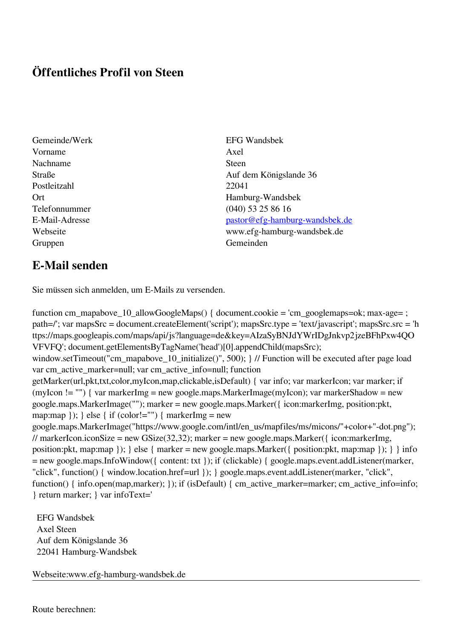## **Öffentliches Profil von Steen**

- Gemeinde/Werk EFG Wandsbek Vorname Axel Nachname Steen Postleitzahl 22041 Gruppen Gemeinden Gemeinden Gemeinden Gemeinden Gemeinden Gemeinden Gemeinden Gemeinden Gemeinden Gemeinden G
- Straße Auf dem Königslande 36 Ort Hamburg-Wandsbek Telefonnummer (040) 53 25 86 16 E-Mail-Adresse [pastor@efg-hamburg-wandsbek.de](mailto:pastor@efg-hamburg-wandsbek.de) Webseite www.efg-hamburg-wandsbek.de

## **E-Mail senden**

Sie müssen sich anmelden, um E-Mails zu versenden.

function cm\_mapabove\_10\_allowGoogleMaps() { document.cookie = 'cm\_googlemaps=ok; max-age= ; path=/'; var mapsSrc = document.createElement('script'); mapsSrc.type = 'text/javascript'; mapsSrc.src = 'h ttps://maps.googleapis.com/maps/api/js?language=de&key=AIzaSyBNJdYWrIDgJnkvp2jzeBFhPxw4QO VFVFQ'; document.getElementsByTagName('head')[0].appendChild(mapsSrc); window.setTimeout("cm\_mapabove\_10\_initialize()", 500); } // Function will be executed after page load var cm\_active\_marker=null; var cm\_active\_info=null; function getMarker(url,pkt,txt,color,myIcon,map,clickable,isDefault) { var info; var markerIcon; var marker; if (myIcon != "") { var markerImg = new google.maps.MarkerImage(myIcon); var markerShadow = new google.maps.MarkerImage(""); marker = new google.maps.Marker({ icon:markerImg, position:pkt, map:map  $\}$ ;  $\}$  else  $\{$  if (color!="")  $\{$  markerImg = new google.maps.MarkerImage("https://www.google.com/intl/en\_us/mapfiles/ms/micons/"+color+"-dot.png"); // markerIcon.iconSize = new GSize(32,32); marker = new google.maps.Marker({ $i$ con:markerImg, position:pkt, map:map }); } else { marker = new google.maps.Marker({ position:pkt, map:map }); } } info = new google.maps.InfoWindow({ content: txt }); if (clickable) { google.maps.event.addListener(marker, "click", function() { window.location.href=url }); } google.maps.event.addListener(marker, "click", function() { info.open(map,marker); }); if (isDefault) { cm\_active\_marker=marker; cm\_active\_info=info; } return marker; } var infoText='

 EFG Wandsbek Axel Steen Auf dem Königslande 36 22041 Hamburg-Wandsbek

Webseite:www.efg-hamburg-wandsbek.de